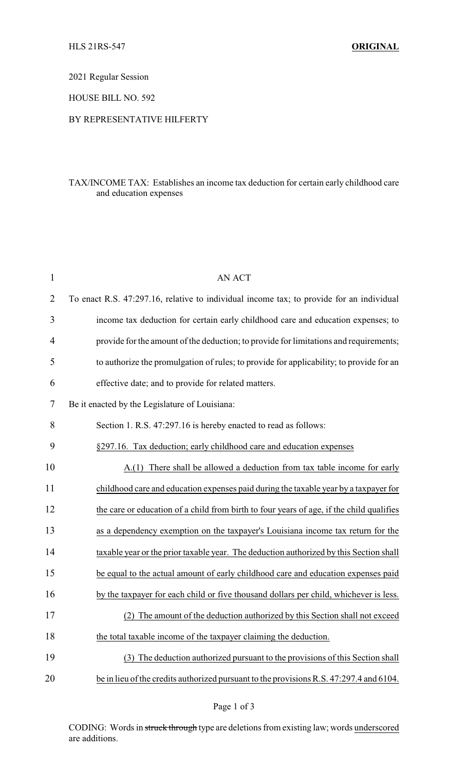2021 Regular Session

HOUSE BILL NO. 592

## BY REPRESENTATIVE HILFERTY

## TAX/INCOME TAX: Establishes an income tax deduction for certain early childhood care and education expenses

| $\mathbf{1}$   | <b>AN ACT</b>                                                                            |
|----------------|------------------------------------------------------------------------------------------|
| $\overline{2}$ | To enact R.S. 47:297.16, relative to individual income tax; to provide for an individual |
| 3              | income tax deduction for certain early childhood care and education expenses; to         |
| $\overline{4}$ | provide for the amount of the deduction; to provide for limitations and requirements;    |
| 5              | to authorize the promulgation of rules; to provide for applicability; to provide for an  |
| 6              | effective date; and to provide for related matters.                                      |
| 7              | Be it enacted by the Legislature of Louisiana:                                           |
| 8              | Section 1. R.S. 47:297.16 is hereby enacted to read as follows:                          |
| 9              | §297.16. Tax deduction; early childhood care and education expenses                      |
| 10             | A.(1) There shall be allowed a deduction from tax table income for early                 |
| 11             | childhood care and education expenses paid during the taxable year by a taxpayer for     |
| 12             | the care or education of a child from birth to four years of age, if the child qualifies |
| 13             | as a dependency exemption on the taxpayer's Louisiana income tax return for the          |
| 14             | taxable year or the prior taxable year. The deduction authorized by this Section shall   |
| 15             | be equal to the actual amount of early childhood care and education expenses paid        |
| 16             | by the taxpayer for each child or five thousand dollars per child, whichever is less.    |
| 17             | (2) The amount of the deduction authorized by this Section shall not exceed              |
| 18             | the total taxable income of the taxpayer claiming the deduction.                         |
| 19             | The deduction authorized pursuant to the provisions of this Section shall<br>(3)         |
| 20             | be in lieu of the credits authorized pursuant to the provisions R.S. 47:297.4 and 6104.  |

Page 1 of 3

CODING: Words in struck through type are deletions from existing law; words underscored are additions.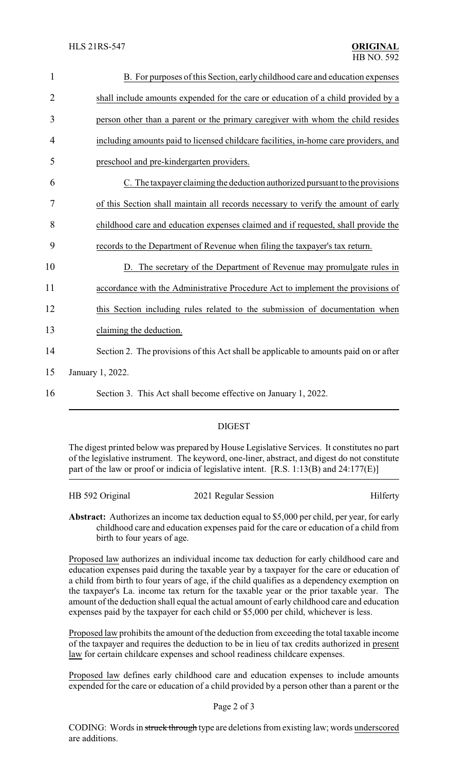| $\mathbf{1}$   | B. For purposes of this Section, early childhood care and education expenses          |
|----------------|---------------------------------------------------------------------------------------|
| $\overline{2}$ | shall include amounts expended for the care or education of a child provided by a     |
| 3              | person other than a parent or the primary caregiver with whom the child resides       |
| 4              | including amounts paid to licensed childcare facilities, in-home care providers, and  |
| 5              | preschool and pre-kindergarten providers.                                             |
| 6              | C. The taxpayer claiming the deduction authorized pursuant to the provisions          |
| 7              | of this Section shall maintain all records necessary to verify the amount of early    |
| 8              | childhood care and education expenses claimed and if requested, shall provide the     |
| 9              | records to the Department of Revenue when filing the taxpayer's tax return.           |
| 10             | D. The secretary of the Department of Revenue may promulgate rules in                 |
| 11             | accordance with the Administrative Procedure Act to implement the provisions of       |
| 12             | this Section including rules related to the submission of documentation when          |
| 13             | claiming the deduction.                                                               |
| 14             | Section 2. The provisions of this Act shall be applicable to amounts paid on or after |
| 15             | January 1, 2022.                                                                      |
| 16             | Section 3. This Act shall become effective on January 1, 2022.                        |
|                |                                                                                       |

## DIGEST

The digest printed below was prepared by House Legislative Services. It constitutes no part of the legislative instrument. The keyword, one-liner, abstract, and digest do not constitute part of the law or proof or indicia of legislative intent. [R.S. 1:13(B) and 24:177(E)]

| HB 592 Original | 2021 Regular Session | Hilferty |
|-----------------|----------------------|----------|
|                 |                      |          |

**Abstract:** Authorizes an income tax deduction equal to \$5,000 per child, per year, for early childhood care and education expenses paid for the care or education of a child from birth to four years of age.

Proposed law authorizes an individual income tax deduction for early childhood care and education expenses paid during the taxable year by a taxpayer for the care or education of a child from birth to four years of age, if the child qualifies as a dependency exemption on the taxpayer's La. income tax return for the taxable year or the prior taxable year. The amount of the deduction shall equal the actual amount of early childhood care and education expenses paid by the taxpayer for each child or \$5,000 per child, whichever is less.

Proposed law prohibits the amount of the deduction from exceeding the total taxable income of the taxpayer and requires the deduction to be in lieu of tax credits authorized in present law for certain childcare expenses and school readiness childcare expenses.

Proposed law defines early childhood care and education expenses to include amounts expended for the care or education of a child provided by a person other than a parent or the